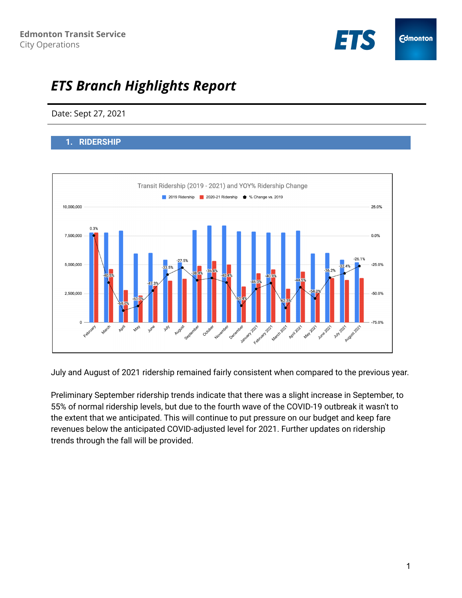

# *ETS Branch Highlights Report*

# Date: Sept 27, 2021

## **1. RIDERSHIP**



July and August of 2021 ridership remained fairly consistent when compared to the previous year.

Preliminary September ridership trends indicate that there was a slight increase in September, to 55% of normal ridership levels, but due to the fourth wave of the COVID-19 outbreak it wasn't to the extent that we anticipated. This will continue to put pressure on our budget and keep fare revenues below the anticipated COVID-adjusted level for 2021. Further updates on ridership trends through the fall will be provided.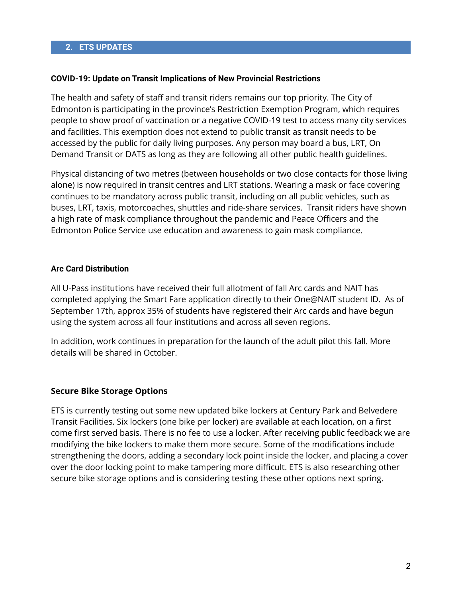#### **COVID-19: Update on Transit Implications of New Provincial Restrictions**

The health and safety of staff and transit riders remains our top priority. The City of Edmonton is participating in the province's Restriction Exemption Program, which requires people to show proof of vaccination or a negative COVID-19 test to access many city services and facilities. This exemption does not extend to public transit as transit needs to be accessed by the public for daily living purposes. Any person may board a bus, LRT, On Demand Transit or DATS as long as they are following all other public health guidelines.

Physical distancing of two metres (between households or two close contacts for those living alone) is now required in transit centres and LRT stations. Wearing a mask or face covering continues to be mandatory across public transit, including on all public vehicles, such as buses, LRT, taxis, motorcoaches, shuttles and ride-share services. Transit riders have shown a high rate of mask compliance throughout the pandemic and Peace Officers and the Edmonton Police Service use education and awareness to gain mask compliance.

### **Arc Card Distribution**

All U-Pass institutions have received their full allotment of fall Arc cards and NAIT has completed applying the Smart Fare application directly to their One@NAIT student ID. As of September 17th, approx 35% of students have registered their Arc cards and have begun using the system across all four institutions and across all seven regions.

In addition, work continues in preparation for the launch of the adult pilot this fall. More details will be shared in October.

## **Secure Bike Storage Options**

ETS is currently testing out some new updated bike lockers at Century Park and Belvedere Transit Facilities. Six lockers (one bike per locker) are available at each location, on a first come first served basis. There is no fee to use a locker. After receiving public feedback we are modifying the bike lockers to make them more secure. Some of the modifications include strengthening the doors, adding a secondary lock point inside the locker, and placing a cover over the door locking point to make tampering more difficult. ETS is also researching other secure bike storage options and is considering testing these other options next spring.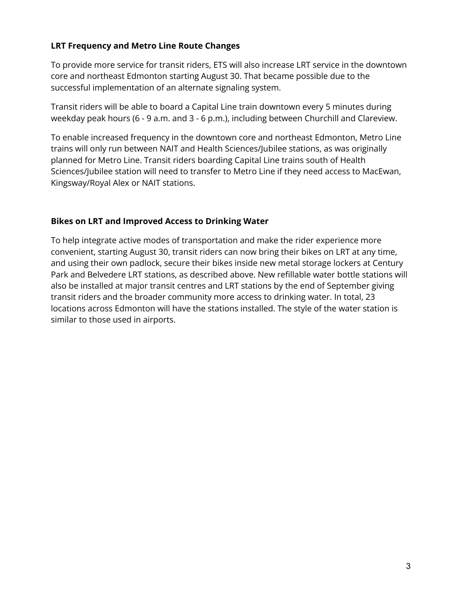# **LRT Frequency and Metro Line Route Changes**

To provide more service for transit riders, ETS will also increase LRT service in the downtown core and northeast Edmonton starting August 30. That became possible due to the successful implementation of an alternate signaling system.

Transit riders will be able to board a Capital Line train downtown every 5 minutes during weekday peak hours (6 - 9 a.m. and 3 - 6 p.m.), including between Churchill and Clareview.

To enable increased frequency in the downtown core and northeast Edmonton, Metro Line trains will only run between NAIT and Health Sciences/Jubilee stations, as was originally planned for Metro Line. Transit riders boarding Capital Line trains south of Health Sciences/Jubilee station will need to transfer to Metro Line if they need access to MacEwan, Kingsway/Royal Alex or NAIT stations.

# **Bikes on LRT and Improved Access to Drinking Water**

To help integrate active modes of transportation and make the rider experience more convenient, starting August 30, transit riders can now bring their bikes on LRT at any time, and using their own padlock, secure their bikes inside new metal storage lockers at Century Park and Belvedere LRT stations, as described above. New refillable water bottle stations will also be installed at major transit centres and LRT stations by the end of September giving transit riders and the broader community more access to drinking water. In total, 23 locations across Edmonton will have the stations installed. The style of the water station is similar to those used in airports.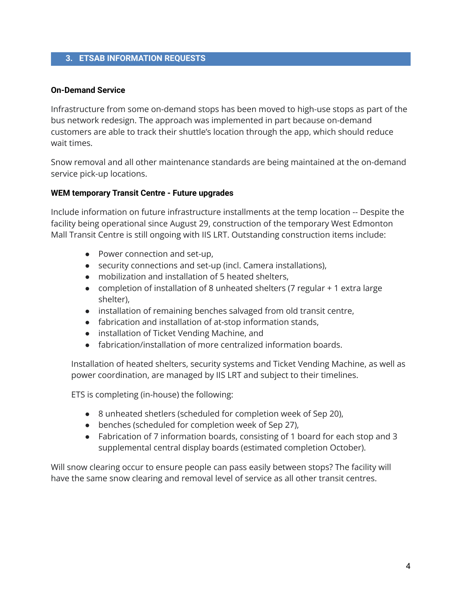## **3. ETSAB INFORMATION REQUESTS**

#### **On-Demand Service**

Infrastructure from some on-demand stops has been moved to high-use stops as part of the bus network redesign. The approach was implemented in part because on-demand customers are able to track their shuttle's location through the app, which should reduce wait times.

Snow removal and all other maintenance standards are being maintained at the on-demand service pick-up locations.

#### **WEM temporary Transit Centre - Future upgrades**

Include information on future infrastructure installments at the temp location -- Despite the facility being operational since August 29, construction of the temporary West Edmonton Mall Transit Centre is still ongoing with IIS LRT. Outstanding construction items include:

- Power connection and set-up,
- security connections and set-up (incl. Camera installations),
- mobilization and installation of 5 heated shelters,
- completion of installation of 8 unheated shelters (7 regular + 1 extra large shelter),
- installation of remaining benches salvaged from old transit centre,
- fabrication and installation of at-stop information stands,
- installation of Ticket Vending Machine, and
- fabrication/installation of more centralized information boards.

Installation of heated shelters, security systems and Ticket Vending Machine, as well as power coordination, are managed by IIS LRT and subject to their timelines.

ETS is completing (in-house) the following:

- 8 unheated shetlers (scheduled for completion week of Sep 20),
- benches (scheduled for completion week of Sep 27),
- Fabrication of 7 information boards, consisting of 1 board for each stop and 3 supplemental central display boards (estimated completion October).

Will snow clearing occur to ensure people can pass easily between stops? The facility will have the same snow clearing and removal level of service as all other transit centres.